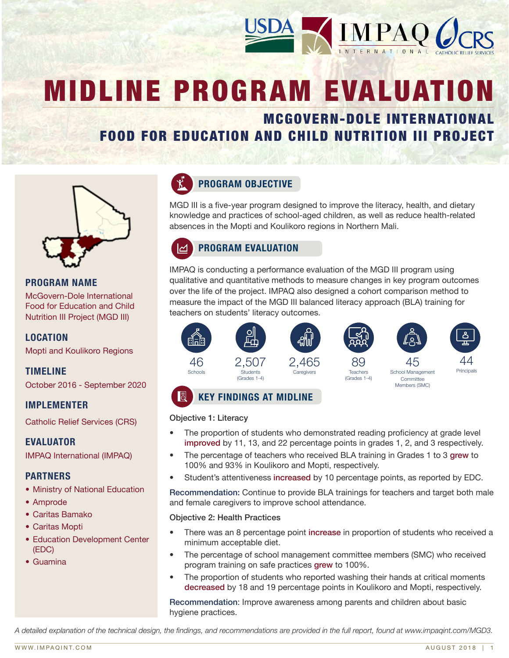

# MIDLINE PROGRAM EVALUATION

# MCGOVERN-DOLE INTERNATIONAL FOOD FOR EDUCATION AND CHILD NUTRITION III PROJECT



# PROGRAM NAME

McGovern-Dole International Food for Education and Child Nutrition III Project (MGD III)

# LOCATION

Mopti and Koulikoro Regions

# TIMELINE

October 2016 - September 2020

#### IMPLEMENTER

Catholic Relief Services (CRS)

#### EVALUATOR

IMPAQ International (IMPAQ)

#### PARTNERS

- Ministry of National Education
- Amprode
- Caritas Bamako
- Caritas Mopti
- Education Development Center (EDC)
- Guamina



# PROGRAM OBJECTIVE

MGD III is a five-year program designed to improve the literacy, health, and dietary knowledge and practices of school-aged children, as well as reduce health-related absences in the Mopti and Koulikoro regions in Northern Mali.

# PROGRAM EVALUATION

IMPAQ is conducting a performance evaluation of the MGD III program using qualitative and quantitative methods to measure changes in key program outcomes over the life of the project. IMPAQ also designed a cohort comparison method to measure the impact of the MGD III balanced literacy approach (BLA) training for teachers on students' literacy outcomes.



# KEY FINDINGS AT MIDLINE

#### Objective 1: Literacy

- The proportion of students who demonstrated reading proficiency at grade level improved by 11, 13, and 22 percentage points in grades 1, 2, and 3 respectively.
- The percentage of teachers who received BLA training in Grades 1 to 3 grew to 100% and 93% in Koulikoro and Mopti, respectively.
- Student's attentiveness increased by 10 percentage points, as reported by EDC.

Recommendation: Continue to provide BLA trainings for teachers and target both male and female caregivers to improve school attendance.

#### Objective 2: Health Practices

- There was an 8 percentage point increase in proportion of students who received a minimum acceptable diet.
- The percentage of school management committee members (SMC) who received program training on safe practices grew to 100%.
- The proportion of students who reported washing their hands at critical moments decreased by 18 and 19 percentage points in Koulikoro and Mopti, respectively.

Recommendation: Improve awareness among parents and children about basic hygiene practices.

A detailed explanation of the technical design, the findings, and recommendations are provided in the full report, found at www.impaqint.com/MGD3.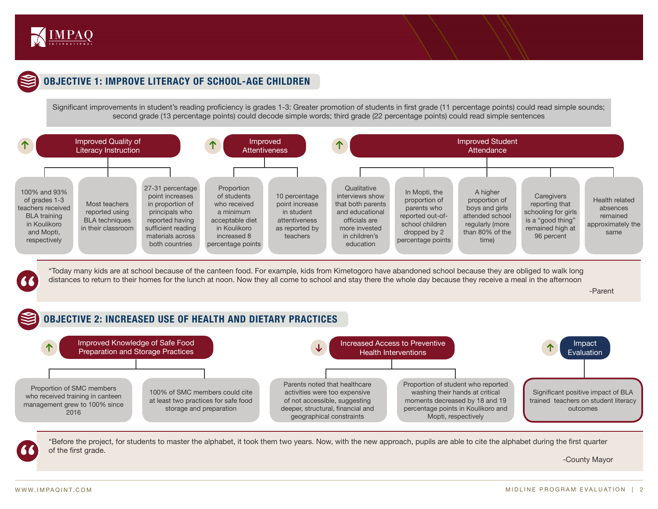

# OBJECTIVE 1: IMPROVE LITERACY OF SCHOOL-AGE CHILDREN

Significant improvements in student's reading proficiency is grades 1-3: Greater promotion of students in first grade (11 percentage points) could read simple sounds; second grade (13 percentage points) could decode simple words; third grade (22 percentage points) could read simple sentences



"Today many kids are at school because of the canteen food. For example, kids from Kimetogoro have abandoned school because they are obliged to walk long distances to return to their homes for the lunch at noon. Now they all come to school and stay there the whole day because they receive a meal in the afternoon

-Parent



"Before the project, for students to master the alphabet, it took them two years. Now, with the new approach, pupils are able to cite the alphabet during the first quarter of the first grade.

-County Mayor